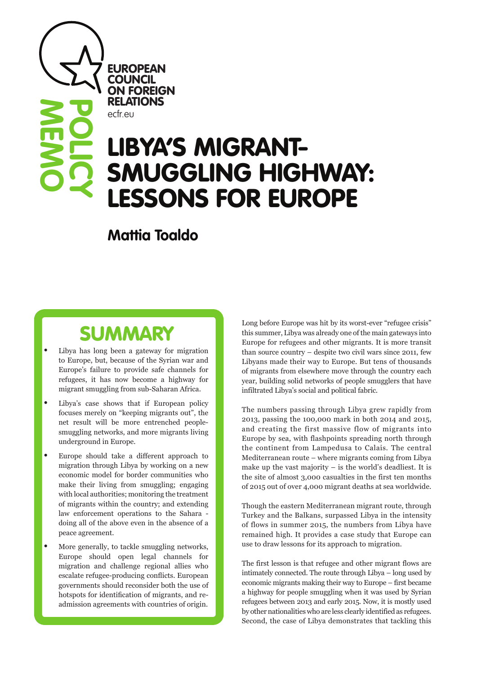**EUROPEAN COUNCIL** ON FOREIGN RELATIONS ecfr.eu

**MEMO**

**POLICY**

# LIBTA'S MIUKANI-<br>CALLOQUALO LUQUILLAV SMUGGLING HIGHWAY: LESSONS FOR EUROPE LIBYA'S MIGRANT-

**Mattia Toaldo**

## **SUMMARY**

- Libya has long been a gateway for migration to Europe, but, because of the Syrian war and Europe's failure to provide safe channels for refugees, it has now become a highway for migrant smuggling from sub-Saharan Africa.
- Libya's case shows that if European policy focuses merely on "keeping migrants out", the net result will be more entrenched peoplesmuggling networks, and more migrants living underground in Europe.
- Europe should take a different approach to migration through Libya by working on a new economic model for border communities who make their living from smuggling; engaging with local authorities; monitoring the treatment of migrants within the country; and extending law enforcement operations to the Sahara doing all of the above even in the absence of a peace agreement.
- More generally, to tackle smuggling networks, Europe should open legal channels for migration and challenge regional allies who escalate refugee-producing conflicts. European governments should reconsider both the use of hotspots for identification of migrants, and readmission agreements with countries of origin.

Long before Europe was hit by its worst-ever "refugee crisis" this summer, Libya was already one of the main gateways into Europe for refugees and other migrants. It is more transit than source country – despite two civil wars since 2011, few Libyans made their way to Europe. But tens of thousands of migrants from elsewhere move through the country each year, building solid networks of people smugglers that have infiltrated Libya's social and political fabric.

The numbers passing through Libya grew rapidly from 2013, passing the 100,000 mark in both 2014 and 2015, and creating the first massive flow of migrants into Europe by sea, with flashpoints spreading north through the continent from Lampedusa to Calais. The central Mediterranean route – where migrants coming from Libya make up the vast majority – is the world's deadliest. It is the site of almost 3,000 casualties in the first ten months of 2015 out of over 4,000 migrant deaths at sea worldwide.

Though the eastern Mediterranean migrant route, through Turkey and the Balkans, surpassed Libya in the intensity of flows in summer 2015, the numbers from Libya have remained high. It provides a case study that Europe can use to draw lessons for its approach to migration.

The first lesson is that refugee and other migrant flows are intimately connected. The route through Libya – long used by economic migrants making their way to Europe – first became a highway for people smuggling when it was used by Syrian refugees between 2013 and early 2015. Now, it is mostly used by other nationalities who are less clearly identified as refugees. Second, the case of Libya demonstrates that tackling this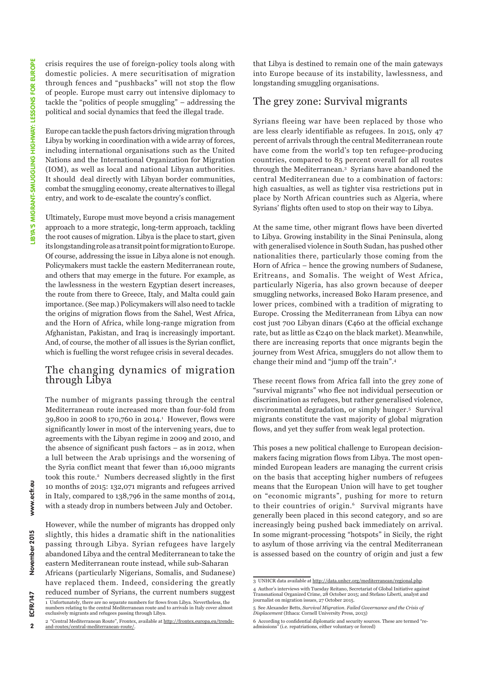crisis requires the use of foreign-policy tools along with domestic policies. A mere securitisation of migration through fences and "pushbacks" will not stop the flow of people. Europe must carry out intensive diplomacy to tackle the "politics of people smuggling" – addressing the political and social dynamics that feed the illegal trade.

Europe can tackle the push factors driving migration through Libya by working in coordination with a wide array of forces, including international organisations such as the United Nations and the International Organization for Migration (IOM), as well as local and national Libyan authorities. It should deal directly with Libyan border communities, combat the smuggling economy, create alternatives to illegal entry, and work to de-escalate the country's conflict.

Ultimately, Europe must move beyond a crisis management approach to a more strategic, long-term approach, tackling the root causes of migration. Libya is the place to start, given its longstanding role as a transit point for migration to Europe. Of course, addressing the issue in Libya alone is not enough. Policymakers must tackle the eastern Mediterranean route, and others that may emerge in the future. For example, as the lawlessness in the western Egyptian desert increases, the route from there to Greece, Italy, and Malta could gain importance. (See map.) Policymakers will also need to tackle the origins of migration flows from the Sahel, West Africa, and the Horn of Africa, while long-range migration from Afghanistan, Pakistan, and Iraq is increasingly important. And, of course, the mother of all issues is the Syrian conflict, which is fuelling the worst refugee crisis in several decades.

#### The changing dynamics of migration through Libya

The number of migrants passing through the central Mediterranean route increased more than four-fold from 39,800 in 2008 to 170,760 in 2014.<sup>1</sup> However, flows were significantly lower in most of the intervening years, due to agreements with the Libyan regime in 2009 and 2010, and the absence of significant push factors – as in 2012, when a lull between the Arab uprisings and the worsening of the Syria conflict meant that fewer than 16,000 migrants took this route.<sup>2</sup> Numbers decreased slightly in the first 10 months of 2015: 132,071 migrants and refugees arrived in Italy, compared to 138,796 in the same months of 2014, with a steady drop in numbers between July and October.

However, while the number of migrants has dropped only slightly, this hides a dramatic shift in the nationalities passing through Libya. Syrian refugees have largely abandoned Libya and the central Mediterranean to take the eastern Mediterranean route instead, while sub-Saharan Africans (particularly Nigerians, Somalis, and Sudanese) have replaced them. Indeed, considering the greatly reduced number of Syrians, the current numbers suggest 1 Unfortunately, there are no separate numbers for flows from Libya. Nevertheless, the numbers relating to the central Mediterranean route and to arrivals in Italy cover almost exclusively migrants and refugees passing through Libya.

that Libya is destined to remain one of the main gateways into Europe because of its instability, lawlessness, and longstanding smuggling organisations.

### The grey zone: Survival migrants

Syrians fleeing war have been replaced by those who are less clearly identifiable as refugees. In 2015, only 47 percent of arrivals through the central Mediterranean route have come from the world's top ten refugee-producing countries, compared to 85 percent overall for all routes through the Mediterranean.3 Syrians have abandoned the central Mediterranean due to a combination of factors: high casualties, as well as tighter visa restrictions put in place by North African countries such as Algeria, where Syrians' flights often used to stop on their way to Libya.

At the same time, other migrant flows have been diverted to Libya. Growing instability in the Sinai Peninsula, along with generalised violence in South Sudan, has pushed other nationalities there, particularly those coming from the Horn of Africa – hence the growing numbers of Sudanese, Eritreans, and Somalis. The weight of West Africa, particularly Nigeria, has also grown because of deeper smuggling networks, increased Boko Haram presence, and lower prices, combined with a tradition of migrating to Europe. Crossing the Mediterranean from Libya can now cost just 700 Libyan dinars ( $\epsilon$ 460 at the official exchange rate, but as little as  $\mathfrak{C}$ 240 on the black market). Meanwhile, there are increasing reports that once migrants begin the journey from West Africa, smugglers do not allow them to change their mind and "jump off the train".4

These recent flows from Africa fall into the grey zone of "survival migrants" who flee not individual persecution or discrimination as refugees, but rather generalised violence, environmental degradation, or simply hunger.5 Survival migrants constitute the vast majority of global migration flows, and yet they suffer from weak legal protection.

This poses a new political challenge to European decisionmakers facing migration flows from Libya. The most openminded European leaders are managing the current crisis on the basis that accepting higher numbers of refugees means that the European Union will have to get tougher on "economic migrants", pushing for more to return to their countries of origin.<sup>6</sup> Survival migrants have generally been placed in this second category, and so are increasingly being pushed back immediately on arrival. In some migrant-processing "hotspots" in Sicily, the right to asylum of those arriving via the central Mediterranean is assessed based on the country of origin and just a few

 $\overline{2}$ 

g

www.ecfr.

November 2015

<sup>2 &</sup>quot;Central Mediterranean Route", Frontex, available at [http://frontex.europa.eu/trends](http://frontex.europa.eu/trends-and-routes/central-mediterranean-route/)[and-routes/central-mediterranean-route/.](http://frontex.europa.eu/trends-and-routes/central-mediterranean-route/)

<sup>3</sup> UNHCR data available at [http://data.unhcr.org/mediterranean/regional.php.](http://data.unhcr.org/mediterranean/regional.php)

<sup>4</sup> Author's interviews with Tuesday Reitano, Secretariat of Global Initiative against Transnational Organized Crime, 28 October 2015; and Stefano Liberti, analyst and journalist on migration issues, 27 October 2015.

<sup>5</sup> See Alexander Betts, *Survival Migration. Failed Governance and the Crisis of Displacement* (Ithaca: Cornell University Press, 2013)

<sup>6</sup> According to confidential diplomatic and security sources. These are termed "re-admissions" (i.e. repatriations, either voluntary or forced)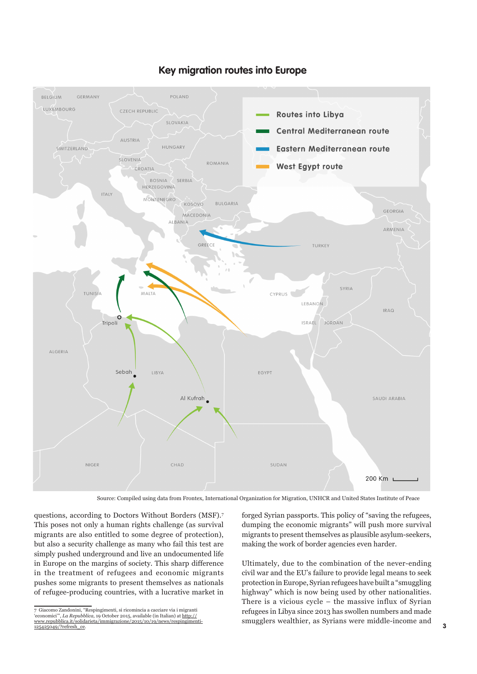

#### **Key migration routes into Europe**

Source: Compiled using data from Frontex, International Organization for Migration, UNHCR and United States Institute of Peace

questions, according to Doctors Without Borders (MSF).7 This poses not only a human rights challenge (as survival migrants are also entitled to some degree of protection), but also a security challenge as many who fail this test are simply pushed underground and live an undocumented life in Europe on the margins of society. This sharp difference in the treatment of refugees and economic migrants pushes some migrants to present themselves as nationals of refugee-producing countries, with a lucrative market in

7 Giacomo Zandonini, "Respingimenti, si ricomincia a cacciare via i migranti 'economici'", *La Repubblica*, 19 October 2015, available (in Italian) at [http://](http://www.repubblica.it/solidarieta/immigrazione/2015/10/19/news/respingimenti-125425049/?refresh_ce) [www.repubblica.it/solidarieta/immigrazione/2015/10/19/news/respingimenti-](http://www.repubblica.it/solidarieta/immigrazione/2015/10/19/news/respingimenti-125425049/?refresh_ce)[125425049/?refresh\\_ce.](http://www.repubblica.it/solidarieta/immigrazione/2015/10/19/news/respingimenti-125425049/?refresh_ce)

forged Syrian passports. This policy of "saving the refugees, dumping the economic migrants" will push more survival migrants to present themselves as plausible asylum-seekers, making the work of border agencies even harder.

Ultimately, due to the combination of the never-ending civil war and the EU's failure to provide legal means to seek protection in Europe, Syrian refugees have built a "smuggling highway" which is now being used by other nationalities. There is a vicious cycle – the massive influx of Syrian refugees in Libya since 2013 has swollen numbers and made smugglers wealthier, as Syrians were middle-income and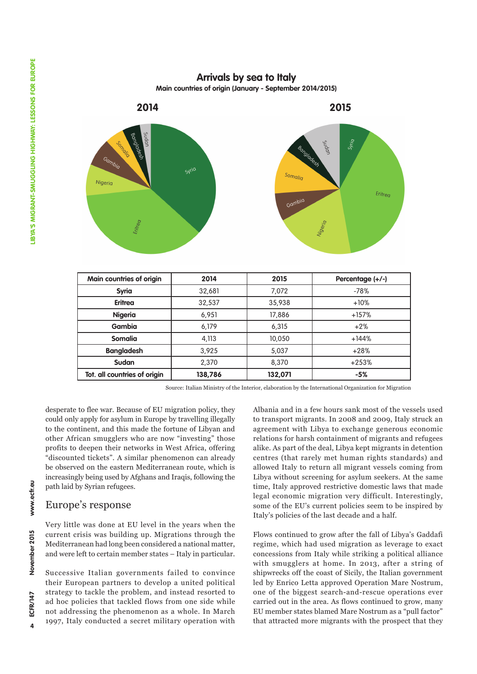## **Arrivals by sea to Italy**

**Main countries of origin (January - September 2014/2015)**



| Main countries of origin     | 2014    | 2015    | Percentage (+/-) |
|------------------------------|---------|---------|------------------|
| <b>Syria</b>                 | 32,681  | 7.072   | $-78%$           |
| <b>Eritrea</b>               | 32,537  | 35,938  | $+10%$           |
| <b>Nigeria</b>               | 6.951   | 17,886  | $+157%$          |
| Gambia                       | 6,179   | 6.315   | $+2%$            |
| <b>Somalia</b>               | 4,113   | 10,050  | $+144%$          |
| <b>Bangladesh</b>            | 3,925   | 5,037   | $+28%$           |
| Sudan                        | 2.370   | 8,370   | $+253%$          |
| Tot. all countries of origin | 138,786 | 132,071 | $-5%$            |

Source: Italian Ministry of the Interior, elaboration by the International Organization for Migration

desperate to flee war. Because of EU migration policy, they could only apply for asylum in Europe by travelling illegally to the continent, and this made the fortune of Libyan and other African smugglers who are now "investing" those profits to deepen their networks in West Africa, offering "discounted tickets". A similar phenomenon can already be observed on the eastern Mediterranean route, which is increasingly being used by Afghans and Iraqis, following the path laid by Syrian refugees.

## Europe's response

Very little was done at EU level in the years when the current crisis was building up. Migrations through the Mediterranean had long been considered a national matter, and were left to certain member states – Italy in particular.

Successive Italian governments failed to convince their European partners to develop a united political strategy to tackle the problem, and instead resorted to ad hoc policies that tackled flows from one side while not addressing the phenomenon as a whole. In March 1997, Italy conducted a secret military operation with Albania and in a few hours sank most of the vessels used to transport migrants. In 2008 and 2009, Italy struck an agreement with Libya to exchange generous economic relations for harsh containment of migrants and refugees alike. As part of the deal, Libya kept migrants in detention centres (that rarely met human rights standards) and allowed Italy to return all migrant vessels coming from Libya without screening for asylum seekers. At the same time, Italy approved restrictive domestic laws that made legal economic migration very difficult. Interestingly, some of the EU's current policies seem to be inspired by Italy's policies of the last decade and a half.

Flows continued to grow after the fall of Libya's Gaddafi regime, which had used migration as leverage to exact concessions from Italy while striking a political alliance with smugglers at home. In 2013, after a string of shipwrecks off the coast of Sicily, the Italian government led by Enrico Letta approved Operation Mare Nostrum, one of the biggest search-and-rescue operations ever carried out in the area. As flows continued to grow, many EU member states blamed Mare Nostrum as a "pull factor" that attracted more migrants with the prospect that they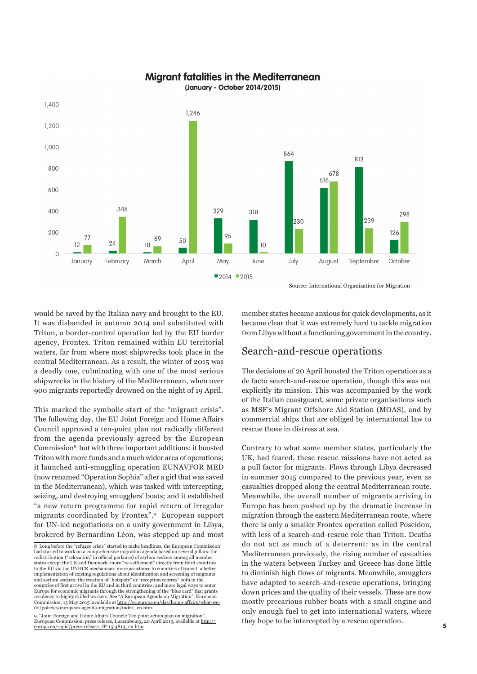#### **Migrant fatalities in the Mediterranean**



**(January - October 2014/2015)**

Source: International Organization for Migration

would be saved by the Italian navy and brought to the EU. It was disbanded in autumn 2014 and substituted with Triton, a border-control operation led by the EU border agency, Frontex. Triton remained within EU territorial waters, far from where most shipwrecks took place in the central Mediterranean. As a result, the winter of 2015 was a deadly one, culminating with one of the most serious shipwrecks in the history of the Mediterranean, when over 900 migrants reportedly drowned on the night of 19 April.

This marked the symbolic start of the "migrant crisis". The following day, the EU Joint Foreign and Home Affairs Council approved a ten-point plan not radically different from the agenda previously agreed by the European Commission8 but with three important additions: it boosted Triton with more funds and a much wider area of operations; it launched anti-smuggling operation EUNAVFOR MED (now renamed "Operation Sophia" after a girl that was saved in the Mediterranean), which was tasked with intercepting, seizing, and destroying smugglers' boats; and it established "a new return programme for rapid return of irregular migrants coordinated by Frontex".9 European support for UN-led negotiations on a unity government in Libya, brokered by Bernardino Léon, was stepped up and most

9 "Joint Foreign and Home Affairs Council: Ten point action plan on migration",<br>European Commission, press release, Luxembourg, 20 April 2015, available at <u>[http://](http://europa.eu/rapid/press-release_IP-15-4813_en.htm)</u><br>[europa.eu/rapid/press-release\\_IP-15-4813\\_en.htm](http://europa.eu/rapid/press-release_IP-15-4813_en.htm).

member states became anxious for quick developments, as it became clear that it was extremely hard to tackle migration from Libya without a functioning government in the country.

#### Search-and-rescue operations

The decisions of 20 April boosted the Triton operation as a de facto search-and-rescue operation, though this was not explicitly its mission. This was accompanied by the work of the Italian coastguard, some private organisations such as MSF's Migrant Offshore Aid Station (MOAS), and by commercial ships that are obliged by international law to rescue those in distress at sea.

Contrary to what some member states, particularly the UK, had feared, these rescue missions have not acted as a pull factor for migrants. Flows through Libya decreased in summer 2015 compared to the previous year, even as casualties dropped along the central Mediterranean route. Meanwhile, the overall number of migrants arriving in Europe has been pushed up by the dramatic increase in migration through the eastern Mediterranean route, where there is only a smaller Frontex operation called Poseidon, with less of a search-and-rescue role than Triton. Deaths do not act as much of a deterrent: as in the central Mediterranean previously, the rising number of casualties in the waters between Turkey and Greece has done little to diminish high flows of migrants. Meanwhile, smugglers have adapted to search-and-rescue operations, bringing down prices and the quality of their vessels. These are now mostly precarious rubber boats with a small engine and only enough fuel to get into international waters, where they hope to be intercepted by a rescue operation.

<sup>8</sup> Long before the "refugee crisis" started to make headlines, the European Commission had started to work on a comprehensive migration agenda based on several pillars: the redistribution ("relocation" in official parlance) of asylum seekers among all member states except the UK and Denmark; more "re-settlement" directly from third countries to the EU via the UNHCR mechanism; more assistance to countries of transit; a better implementation of existing regulations about identification and screening of migrants and asylum seekers; the creation of "hotspots" or "reception centres" both in the countries of first arrival in the EU and in third countries; and more legal ways to enter Europe for economic migrants through the strengthening of the "blue card" that grants residency to highly skilled workers. See "A European Agenda on Migration", European<br>Commission, 13 May 2015, available at <u>http://ec.europa.eu/dgs/home-affairs/what-we-</u> [do/policies/european-agenda-migration/index\\_en.htm.](http://ec.europa.eu/dgs/home-affairs/what-we-do/policies/european-agenda-migration/index_en.htm)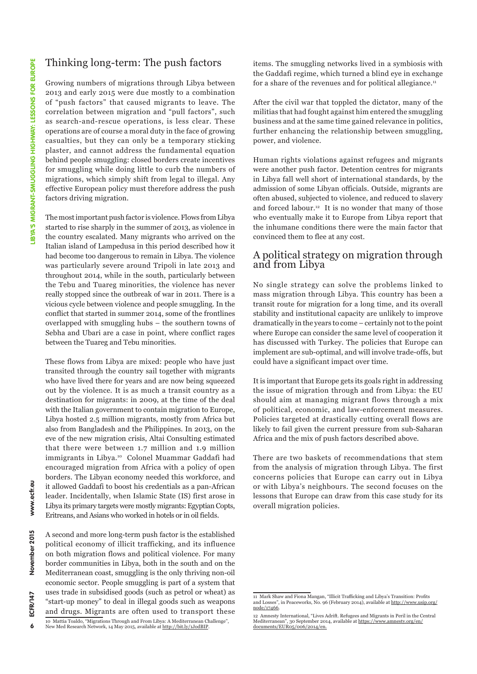### Thinking long-term: The push factors

Growing numbers of migrations through Libya between 2013 and early 2015 were due mostly to a combination of "push factors" that caused migrants to leave. The correlation between migration and "pull factors", such as search-and-rescue operations, is less clear. These operations are of course a moral duty in the face of growing casualties, but they can only be a temporary sticking plaster, and cannot address the fundamental equation behind people smuggling: closed borders create incentives for smuggling while doing little to curb the numbers of migrations, which simply shift from legal to illegal. Any effective European policy must therefore address the push factors driving migration.

The most important push factor is violence. Flows from Libya started to rise sharply in the summer of 2013, as violence in the country escalated. Many migrants who arrived on the Italian island of Lampedusa in this period described how it had become too dangerous to remain in Libya. The violence was particularly severe around Tripoli in late 2013 and throughout 2014, while in the south, particularly between the Tebu and Tuareg minorities, the violence has never really stopped since the outbreak of war in 2011. There is a vicious cycle between violence and people smuggling. In the conflict that started in summer 2014, some of the frontlines overlapped with smuggling hubs – the southern towns of Sebha and Ubari are a case in point, where conflict rages between the Tuareg and Tebu minorities.

These flows from Libya are mixed: people who have just transited through the country sail together with migrants who have lived there for years and are now being squeezed out by the violence. It is as much a transit country as a destination for migrants: in 2009, at the time of the deal with the Italian government to contain migration to Europe, Libya hosted 2.5 million migrants, mostly from Africa but also from Bangladesh and the Philippines. In 2013, on the eve of the new migration crisis, Altai Consulting estimated that there were between 1.7 million and 1.9 million immigrants in Libya.10 Colonel Muammar Gaddafi had encouraged migration from Africa with a policy of open borders. The Libyan economy needed this workforce, and it allowed Gaddafi to boost his credentials as a pan-African leader. Incidentally, when Islamic State (IS) first arose in Libya its primary targets were mostly migrants: Egyptian Copts, Eritreans, and Asians who worked in hotels or in oil fields.

A second and more long-term push factor is the established political economy of illicit trafficking, and its influence on both migration flows and political violence. For many border communities in Libya, both in the south and on the Mediterranean coast, smuggling is the only thriving non-oil economic sector. People smuggling is part of a system that uses trade in subsidised goods (such as petrol or wheat) as "start-up money" to deal in illegal goods such as weapons and drugs. Migrants are often used to transport these 10 Mattia Toaldo, "Migrations Through and From Libya: A Mediterranean Challenge",<br>New Med Research Network, 14 May 2015, available at <u><http://bit.ly/1JodBIP></u>.

items. The smuggling networks lived in a symbiosis with the Gaddafi regime, which turned a blind eye in exchange for a share of the revenues and for political allegiance.<sup>11</sup>

After the civil war that toppled the dictator, many of the militias that had fought against him entered the smuggling business and at the same time gained relevance in politics, further enhancing the relationship between smuggling, power, and violence.

Human rights violations against refugees and migrants were another push factor. Detention centres for migrants in Libya fall well short of international standards, by the admission of some Libyan officials. Outside, migrants are often abused, subjected to violence, and reduced to slavery and forced labour.12 It is no wonder that many of those who eventually make it to Europe from Libya report that the inhumane conditions there were the main factor that convinced them to flee at any cost.

#### A political strategy on migration through and from Libya

No single strategy can solve the problems linked to mass migration through Libya. This country has been a transit route for migration for a long time, and its overall stability and institutional capacity are unlikely to improve dramatically in the years to come – certainly not to the point where Europe can consider the same level of cooperation it has discussed with Turkey. The policies that Europe can implement are sub-optimal, and will involve trade-offs, but could have a significant impact over time.

It is important that Europe gets its goals right in addressing the issue of migration through and from Libya: the EU should aim at managing migrant flows through a mix of political, economic, and law-enforcement measures. Policies targeted at drastically cutting overall flows are likely to fail given the current pressure from sub-Saharan Africa and the mix of push factors described above.

There are two baskets of recommendations that stem from the analysis of migration through Libya. The first concerns policies that Europe can carry out in Libya or with Libya's neighbours. The second focuses on the lessons that Europe can draw from this case study for its overall migration policies.

 $\overline{6}$ 

<sup>11</sup> Mark Shaw and Fiona Mangan, "Illicit Trafficking and Libya's Transition: Profits<br>and Losses", in Peaceworks, No. 96 (February 2014), available at <u>http://www.usip.org</u>/ [node/17466.](http://www.usip.org/node/17466)

<sup>12</sup> Amnesty International, "Lives Adrift. Refugees and Migrants in Peril in the Central Mediterranean", 30 September 2014, available at <u>https://www.amnesty.org/en/</u><br><u>[documents/EUR05/006/2014/en.](https://www.amnesty.org/en/documents/EUR05/006/2014/en.)</u>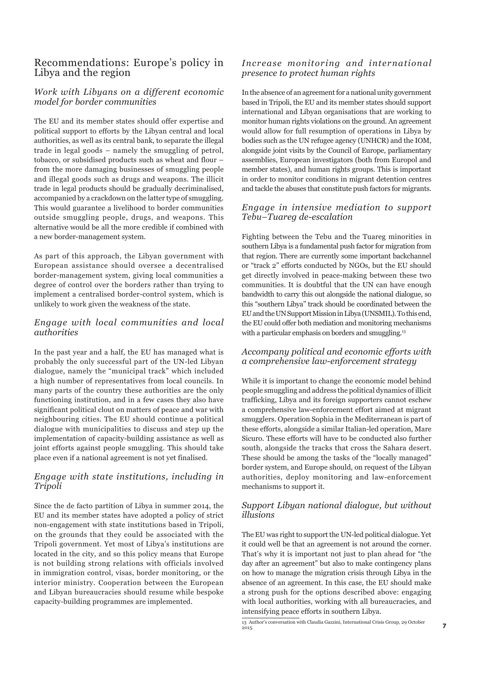#### Recommendations: Europe's policy in Libya and the region

#### *Work with Libyans on a different economic model for border communities*

The EU and its member states should offer expertise and political support to efforts by the Libyan central and local authorities, as well as its central bank, to separate the illegal trade in legal goods – namely the smuggling of petrol, tobacco, or subsidised products such as wheat and flour – from the more damaging businesses of smuggling people and illegal goods such as drugs and weapons. The illicit trade in legal products should be gradually decriminalised, accompanied by a crackdown on the latter type of smuggling. This would guarantee a livelihood to border communities outside smuggling people, drugs, and weapons. This alternative would be all the more credible if combined with a new border-management system.

As part of this approach, the Libyan government with European assistance should oversee a decentralised border-management system, giving local communities a degree of control over the borders rather than trying to implement a centralised border-control system, which is unlikely to work given the weakness of the state.

#### *Engage with local communities and local authorities*

In the past year and a half, the EU has managed what is probably the only successful part of the UN-led Libyan dialogue, namely the "municipal track" which included a high number of representatives from local councils. In many parts of the country these authorities are the only functioning institution, and in a few cases they also have significant political clout on matters of peace and war with neighbouring cities. The EU should continue a political dialogue with municipalities to discuss and step up the implementation of capacity-building assistance as well as joint efforts against people smuggling. This should take place even if a national agreement is not yet finalised.

#### *Engage with state institutions, including in Tripoli*

Since the de facto partition of Libya in summer 2014, the EU and its member states have adopted a policy of strict non-engagement with state institutions based in Tripoli, on the grounds that they could be associated with the Tripoli government. Yet most of Libya's institutions are located in the city, and so this policy means that Europe is not building strong relations with officials involved in immigration control, visas, border monitoring, or the interior ministry. Cooperation between the European and Libyan bureaucracies should resume while bespoke capacity-building programmes are implemented.

#### *Increase monitoring and international presence to protect human rights*

In the absence of an agreement for a national unity government based in Tripoli, the EU and its member states should support international and Libyan organisations that are working to monitor human rights violations on the ground. An agreement would allow for full resumption of operations in Libya by bodies such as the UN refugee agency (UNHCR) and the IOM, alongside joint visits by the Council of Europe, parliamentary assemblies, European investigators (both from Europol and member states), and human rights groups. This is important in order to monitor conditions in migrant detention centres and tackle the abuses that constitute push factors for migrants.

#### *Engage in intensive mediation to support Tebu–Tuareg de-escalation*

Fighting between the Tebu and the Tuareg minorities in southern Libya is a fundamental push factor for migration from that region. There are currently some important backchannel or "track 2" efforts conducted by NGOs, but the EU should get directly involved in peace-making between these two communities. It is doubtful that the UN can have enough bandwidth to carry this out alongside the national dialogue, so this "southern Libya" track should be coordinated between the EU and the UN Support Mission in Libya (UNSMIL). To this end, the EU could offer both mediation and monitoring mechanisms with a particular emphasis on borders and smuggling.<sup>13</sup>

#### *Accompany political and economic efforts with a comprehensive law-enforcement strategy*

While it is important to change the economic model behind people smuggling and address the political dynamics of illicit trafficking, Libya and its foreign supporters cannot eschew a comprehensive law-enforcement effort aimed at migrant smugglers. Operation Sophia in the Mediterranean is part of these efforts, alongside a similar Italian-led operation, Mare Sicuro. These efforts will have to be conducted also further south, alongside the tracks that cross the Sahara desert. These should be among the tasks of the "locally managed" border system, and Europe should, on request of the Libyan authorities, deploy monitoring and law-enforcement mechanisms to support it.

#### *Support Libyan national dialogue, but without illusions*

The EU was right to support the UN-led political dialogue. Yet it could well be that an agreement is not around the corner. That's why it is important not just to plan ahead for "the day after an agreement" but also to make contingency plans on how to manage the migration crisis through Libya in the absence of an agreement. In this case, the EU should make a strong push for the options described above: engaging with local authorities, working with all bureaucracies, and intensifying peace efforts in southern Libya.

<sup>13</sup> Author's conversation with Claudia Gazzini, International Crisis Group, 29 October 2015.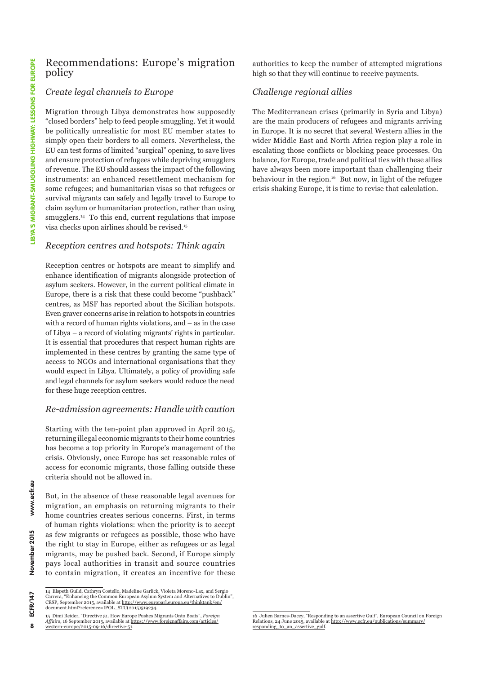#### Recommendations: Europe's migration policy

#### *Create legal channels to Europe*

Migration through Libya demonstrates how supposedly "closed borders" help to feed people smuggling. Yet it would be politically unrealistic for most EU member states to simply open their borders to all comers. Nevertheless, the EU can test forms of limited "surgical" opening, to save lives and ensure protection of refugees while depriving smugglers of revenue. The EU should assess the impact of the following instruments: an enhanced resettlement mechanism for some refugees; and humanitarian visas so that refugees or survival migrants can safely and legally travel to Europe to claim asylum or humanitarian protection, rather than using smugglers.<sup>14</sup> To this end, current regulations that impose visa checks upon airlines should be revised.15

#### *Reception centres and hotspots: Think again*

Reception centres or hotspots are meant to simplify and enhance identification of migrants alongside protection of asylum seekers. However, in the current political climate in Europe, there is a risk that these could become "pushback" centres, as MSF has reported about the Sicilian hotspots. Even graver concerns arise in relation to hotspots in countries with a record of human rights violations, and – as in the case of Libya – a record of violating migrants' rights in particular. It is essential that procedures that respect human rights are implemented in these centres by granting the same type of access to NGOs and international organisations that they would expect in Libya. Ultimately, a policy of providing safe and legal channels for asylum seekers would reduce the need for these huge reception centres.

#### *Re-admission agreements: Handle with caution*

Starting with the ten-point plan approved in April 2015, returning illegal economic migrants to their home countries has become a top priority in Europe's management of the crisis. Obviously, once Europe has set reasonable rules of access for economic migrants, those falling outside these criteria should not be allowed in.

But, in the absence of these reasonable legal avenues for migration, an emphasis on returning migrants to their home countries creates serious concerns. First, in terms of human rights violations: when the priority is to accept as few migrants or refugees as possible, those who have the right to stay in Europe, either as refugees or as legal migrants, may be pushed back. Second, if Europe simply pays local authorities in transit and source countries to contain migration, it creates an incentive for these authorities to keep the number of attempted migrations high so that they will continue to receive payments.

#### *Challenge regional allies*

The Mediterranean crises (primarily in Syria and Libya) are the main producers of refugees and migrants arriving in Europe. It is no secret that several Western allies in the wider Middle East and North Africa region play a role in escalating those conflicts or blocking peace processes. On balance, for Europe, trade and political ties with these allies have always been more important than challenging their behaviour in the region.<sup>16</sup> But now, in light of the refugee crisis shaking Europe, it is time to revise that calculation.

8

<sup>14</sup> Elspeth Guild, Cathryn Costello, Madeline Garlick, Violeta Moreno-Lax, and Sergio Carrera, "Enhancing the Common European Asylum System and Alternatives to Dublin",<br>CESP, September 2015, available at <u>http://www.europarl.europa.eu/thinktank/en/</u> [document.html?reference=IPOL\\_STU\(2015\)519234](http://www.europarl.europa.eu/thinktank/en/document.html?reference=IPOL_STU(2015)519234).

<sup>15</sup> Dimi Reider, "Directive 51. How Europe Pushes Migrants Onto Boats", *Foreign Affairs*, 16 September 2015, available at [https://www.foreignaffairs.com/articles/](https://www.foreignaffairs.com/articles/western-europe/2015-09-16/directive-51) [western-europe/2015-09-16/directive-51](https://www.foreignaffairs.com/articles/western-europe/2015-09-16/directive-51).

<sup>16</sup> Julien Barnes-Dacey, "Responding to an assertive Gulf", European Council on Foreign Relations, 24 June 2015, available at [http://www.ecfr.eu/publications/summary/](http://www.ecfr.eu/publications/summary/responding_to_an_assertive_gulf) [responding\\_to\\_an\\_assertive\\_gulf.](http://www.ecfr.eu/publications/summary/responding_to_an_assertive_gulf)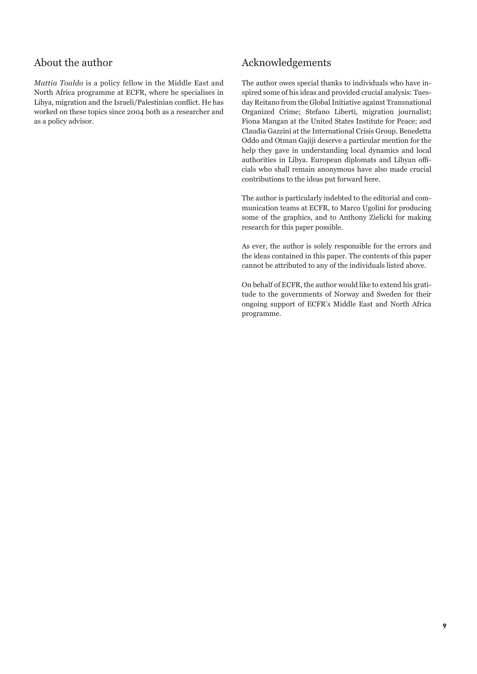## About the author

*Mattia Toaldo* is a policy fellow in the Middle East and North Africa programme at ECFR, where he specialises in Libya, migration and the Israeli/Palestinian conflict. He has worked on these topics since 2004 both as a researcher and as a policy advisor.

## Acknowledgements

The author owes special thanks to individuals who have inspired some of his ideas and provided crucial analysis: Tuesday Reitano from the Global Initiative against Transnational Organized Crime; Stefano Liberti, migration journalist; Fiona Mangan at the United States Institute for Peace; and Claudia Gazzini at the International Crisis Group. Benedetta Oddo and Otman Gajiji deserve a particular mention for the help they gave in understanding local dynamics and local authorities in Libya. European diplomats and Libyan officials who shall remain anonymous have also made crucial contributions to the ideas put forward here.

The author is particularly indebted to the editorial and communication teams at ECFR, to Marco Ugolini for producing some of the graphics, and to Anthony Zielicki for making research for this paper possible.

As ever, the author is solely responsible for the errors and the ideas contained in this paper. The contents of this paper cannot be attributed to any of the individuals listed above.

On behalf of ECFR, the author would like to extend his gratitude to the governments of Norway and Sweden for their ongoing support of ECFR's Middle East and North Africa programme.